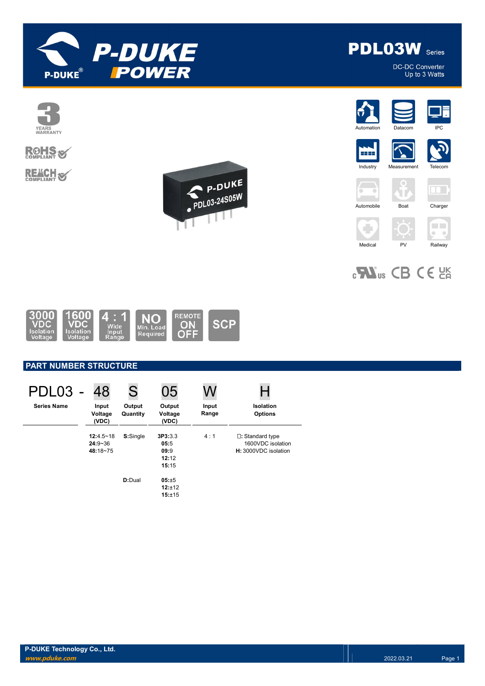



DC-DC Converter Up to 3 Watts



# **ROHS**

**REACH S** 













÷



 $0 - 0$ 

 $_{c}$ Nus CB CE  $_{c}$ 

Medical PV Railway



### PART NUMBER STRUCTURE

| PDL03 -            | 48                                   | S                  | 05                                        | W              |                                                                        |
|--------------------|--------------------------------------|--------------------|-------------------------------------------|----------------|------------------------------------------------------------------------|
| <b>Series Name</b> | Input<br>Voltage<br>(VDC)            | Output<br>Quantity | Output<br>Voltage<br>(VDC)                | Input<br>Range | Isolation<br><b>Options</b>                                            |
|                    | 12:4.5~18<br>$24:9 - 36$<br>48:18~75 | S:Single           | 3P3:3.3<br>05:5<br>09:9<br>12:12<br>15:15 | 4:1            | $\square$ : Standard type<br>1600VDC isolation<br>H: 3000VDC isolation |
|                    |                                      | D:Dual             | 05:±5<br>12:±12<br>15:±15                 |                |                                                                        |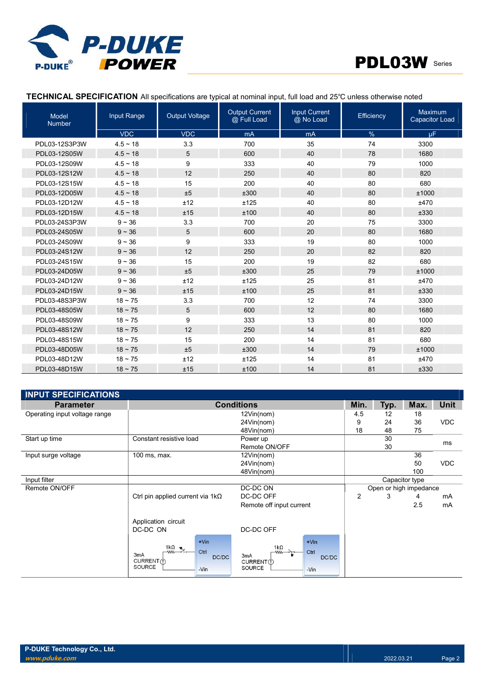



### TECHNICAL SPECIFICATION All specifications are typical at nominal input, full load and 25℃ unless otherwise noted

| <b>Model</b><br><b>Number</b> | Input Range   | <b>Output Voltage</b> | <b>Output Current</b><br>@ Full Load | <b>Input Current</b><br>@ No Load | Efficiency | Maximum<br><b>Capacitor Load</b> |
|-------------------------------|---------------|-----------------------|--------------------------------------|-----------------------------------|------------|----------------------------------|
|                               | <b>VDC</b>    | <b>VDC</b>            | mA                                   | mA                                | %          | <b>uF</b>                        |
| PDL03-12S3P3W                 | $4.5 - 18$    | 3.3                   | 700                                  | 35                                | 74         | 3300                             |
| PDL03-12S05W                  | $4.5 \sim 18$ | 5                     | 600                                  | 40                                | 78         | 1680                             |
| PDL03-12S09W                  | $4.5 \sim 18$ | 9                     | 333                                  | 40                                | 79         | 1000                             |
| PDL03-12S12W                  | $4.5 \sim 18$ | 12                    | 250                                  | 40                                | 80         | 820                              |
| PDL03-12S15W                  | $4.5 \sim 18$ | 15                    | 200                                  | 40                                | 80         | 680                              |
| PDL03-12D05W                  | $4.5 \sim 18$ | ±5                    | ±300                                 | 40                                | 80         | ±1000                            |
| PDL03-12D12W                  | $4.5 \sim 18$ | ±12                   | ±125                                 | 40                                | 80         | ±470                             |
| PDL03-12D15W                  | $4.5 \sim 18$ | ±15                   | ±100                                 | 40                                | 80         | ±330                             |
| PDL03-24S3P3W                 | $9 - 36$      | 3.3                   | 700                                  | 20                                | 75         | 3300                             |
| PDL03-24S05W                  | $9 - 36$      | 5                     | 600                                  | 20                                | 80         | 1680                             |
| PDL03-24S09W                  | $9 - 36$      | 9                     | 333                                  | 19                                | 80         | 1000                             |
| PDL03-24S12W                  | $9 - 36$      | 12                    | 250                                  | 20                                | 82         | 820                              |
| PDL03-24S15W                  | $9 - 36$      | 15                    | 200                                  | 19                                | 82         | 680                              |
| PDL03-24D05W                  | $9 - 36$      | ±5                    | ±300                                 | 25                                | 79         | ±1000                            |
| PDL03-24D12W                  | $9 - 36$      | ±12                   | ±125                                 | 25                                | 81         | ±470                             |
| PDL03-24D15W                  | $9 - 36$      | ±15                   | ±100                                 | 25                                | 81         | ±330                             |
| PDL03-48S3P3W                 | $18 - 75$     | 3.3                   | 700                                  | 12                                | 74         | 3300                             |
| PDL03-48S05W                  | $18 \sim 75$  | 5                     | 600                                  | 12                                | 80         | 1680                             |
| PDL03-48S09W                  | $18 \sim 75$  | 9                     | 333                                  | 13                                | 80         | 1000                             |
| PDL03-48S12W                  | $18 - 75$     | 12                    | 250                                  | 14                                | 81         | 820                              |
| PDL03-48S15W                  | $18 \sim 75$  | 15                    | 200                                  | 14                                | 81         | 680                              |
| PDL03-48D05W                  | $18 \sim 75$  | ±5                    | ±300                                 | 14                                | 79         | ±1000                            |
| PDL03-48D12W                  | $18 - 75$     | ±12                   | ±125                                 | 14                                | 81         | ±470                             |
| PDL03-48D15W                  | $18 - 75$     | ±15                   | ±100                                 | 14                                | 81         | ±330                             |

| <b>INPUT SPECIFICATIONS</b>   |                                                                                                         |                                                                               |                        |      |                |            |
|-------------------------------|---------------------------------------------------------------------------------------------------------|-------------------------------------------------------------------------------|------------------------|------|----------------|------------|
| <b>Parameter</b>              |                                                                                                         | <b>Conditions</b>                                                             | Min.                   | Typ. | Max.           | Unit       |
| Operating input voltage range |                                                                                                         | 12Vin(nom)                                                                    | 4.5                    | 12   | 18             |            |
|                               |                                                                                                         | 24Vin(nom)                                                                    | 9                      | 24   | 36             | <b>VDC</b> |
|                               |                                                                                                         | 48Vin(nom)                                                                    | 18                     | 48   | 75             |            |
| Start up time                 | Constant resistive load                                                                                 | Power up                                                                      |                        | 30   |                | ms         |
|                               |                                                                                                         | Remote ON/OFF                                                                 |                        | 30   |                |            |
| Input surge voltage           | 100 ms, max.                                                                                            | 12Vin(nom)                                                                    |                        |      | 36             |            |
|                               |                                                                                                         | 24Vin(nom)                                                                    |                        |      | 50             | <b>VDC</b> |
|                               |                                                                                                         | 48Vin(nom)                                                                    |                        |      | 100            |            |
| Input filter                  |                                                                                                         |                                                                               |                        |      | Capacitor type |            |
| Remote ON/OFF                 |                                                                                                         | DC-DC ON                                                                      | Open or high impedance |      |                |            |
|                               | Ctrl pin applied current via $1k\Omega$                                                                 | DC-DC OFF                                                                     | $\overline{2}$         | 3    | 4              | mA         |
|                               |                                                                                                         | Remote off input current                                                      |                        |      | 2.5            | mA         |
|                               | Application circuit<br>DC-DC ON                                                                         | DC-DC OFF                                                                     |                        |      |                |            |
|                               | $+V$ in<br>$\frac{1k\Omega}{2}$ .<br>Ctrl<br>3 <sub>m</sub> A<br>DC/DC<br>CURRENT (f)<br>SOURCE<br>-Vin | $+V$ in<br>$1k\Omega$<br>Ctrl<br>3mA<br>DC/DC<br>CURRENT(1)<br>SOURCE<br>-Vin |                        |      |                |            |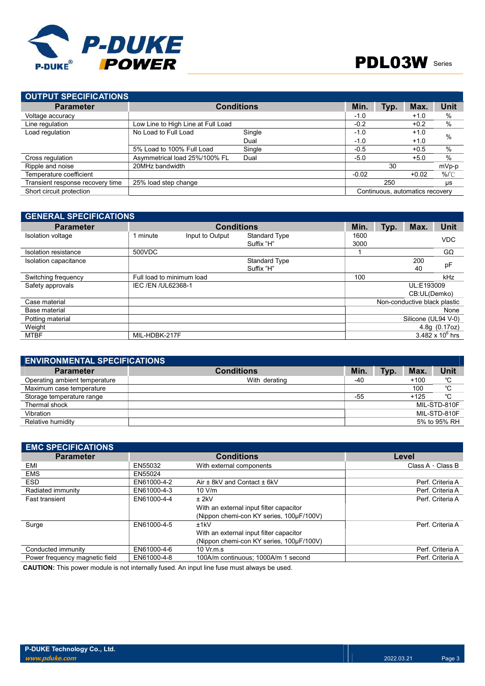

| <b>OUTPUT SPECIFICATIONS</b>     |                                    |                   |         |      |                                 |               |
|----------------------------------|------------------------------------|-------------------|---------|------|---------------------------------|---------------|
| <b>Parameter</b>                 |                                    | <b>Conditions</b> | Min.    | Typ. | Max.                            | Unit          |
| Voltage accuracy                 |                                    |                   | $-1.0$  |      | $+1.0$                          | $\%$          |
| Line regulation                  | Low Line to High Line at Full Load |                   | $-0.2$  |      | $+0.2$                          | %             |
| Load regulation                  | No Load to Full Load               | Single            | $-1.0$  |      | $+1.0$                          | $\frac{0}{0}$ |
|                                  |                                    | Dual              | $-1.0$  |      | $+1.0$                          |               |
|                                  | 5% Load to 100% Full Load          | Single            | $-0.5$  |      | $+0.5$                          | $\frac{0}{0}$ |
| Cross regulation                 | Asymmetrical load 25%/100% FL      | Dual              | $-5.0$  |      | $+5.0$                          | $\frac{0}{0}$ |
| Ripple and noise                 | 20MHz bandwidth                    |                   |         | 30   |                                 | mVp-p         |
| Temperature coefficient          |                                    |                   | $-0.02$ |      | $+0.02$                         | %/°C          |
| Transient response recovery time | 25% load step change               |                   |         | 250  |                                 | μs            |
| Short circuit protection         |                                    |                   |         |      | Continuous, automatics recovery |               |

| <b>GENERAL SPECIFICATIONS</b> |                           |                   |                      |      |            |                              |                    |  |
|-------------------------------|---------------------------|-------------------|----------------------|------|------------|------------------------------|--------------------|--|
| <b>Parameter</b>              |                           | <b>Conditions</b> |                      | Min. | Typ.       | Max.                         | Unit               |  |
| Isolation voltage             | 1 minute                  | Input to Output   | <b>Standard Type</b> | 1600 |            |                              | <b>VDC</b>         |  |
|                               |                           |                   | Suffix "H"           | 3000 |            |                              |                    |  |
| Isolation resistance          | 500VDC                    |                   |                      |      |            |                              | $G\Omega$          |  |
| Isolation capacitance         |                           |                   | <b>Standard Type</b> |      |            | 200                          |                    |  |
|                               |                           |                   | Suffix "H"           |      |            | 40                           | pF                 |  |
| Switching frequency           | Full load to minimum load |                   |                      | 100  |            |                              | kHz                |  |
| Safety approvals              | IEC / EN / UL62368-1      |                   |                      |      | UL:E193009 |                              |                    |  |
|                               |                           |                   |                      |      |            | CB:UL(Demko)                 |                    |  |
| Case material                 |                           |                   |                      |      |            | Non-conductive black plastic |                    |  |
| Base material                 |                           |                   |                      |      |            |                              | None               |  |
| Potting material              |                           |                   |                      |      |            | Silicone (UL94 V-0)          |                    |  |
| Weight                        |                           |                   |                      |      |            |                              | 4.8g (0.17oz)      |  |
| MTBF                          | MIL-HDBK-217F             |                   |                      |      |            |                              | 3.482 x $10^6$ hrs |  |

| <b>ENVIRONMENTAL SPECIFICATIONS</b> |                   |            |      |        |              |
|-------------------------------------|-------------------|------------|------|--------|--------------|
| <b>Parameter</b>                    | <b>Conditions</b> | <b>Min</b> | Typ. | Max.   | Unit         |
| Operating ambient temperature       | With derating     | -40        |      | $+100$ | °C           |
| Maximum case temperature            |                   |            |      | 100    | °C           |
| Storage temperature range           |                   | $-55$      |      | $+125$ | °C           |
| Thermal shock                       |                   |            |      |        | MIL-STD-810F |
| Vibration                           |                   |            |      |        | MIL-STD-810F |
| Relative humidity                   |                   |            |      |        | 5% to 95% RH |

| <b>EMC SPECIFICATIONS</b>      |             |                                          |                         |
|--------------------------------|-------------|------------------------------------------|-------------------------|
| <b>Parameter</b>               |             | <b>Conditions</b>                        | Level                   |
| EMI                            | EN55032     | With external components                 | Class A $\cdot$ Class B |
| <b>EMS</b>                     | EN55024     |                                          |                         |
| <b>ESD</b>                     | EN61000-4-2 | Air ± 8kV and Contact ± 6kV              | Perf. Criteria A        |
| Radiated immunity              | EN61000-4-3 | 10 V/m                                   | Perf. Criteria A        |
| <b>Fast transient</b>          | EN61000-4-4 | $±$ 2kV                                  | Perf. Criteria A        |
|                                |             | With an external input filter capacitor  |                         |
|                                |             | (Nippon chemi-con KY series, 100µF/100V) |                         |
| Surge                          | EN61000-4-5 | ±1kV                                     | Perf. Criteria A        |
|                                |             | With an external input filter capacitor  |                         |
|                                |             | (Nippon chemi-con KY series, 100µF/100V) |                         |
| Conducted immunity             | EN61000-4-6 | $10 \,$ Vr.m.s                           | Perf. Criteria A        |
| Power frequency magnetic field | EN61000-4-8 | 100A/m continuous: 1000A/m 1 second      | Perf. Criteria A        |

CAUTION: This power module is not internally fused. An input line fuse must always be used.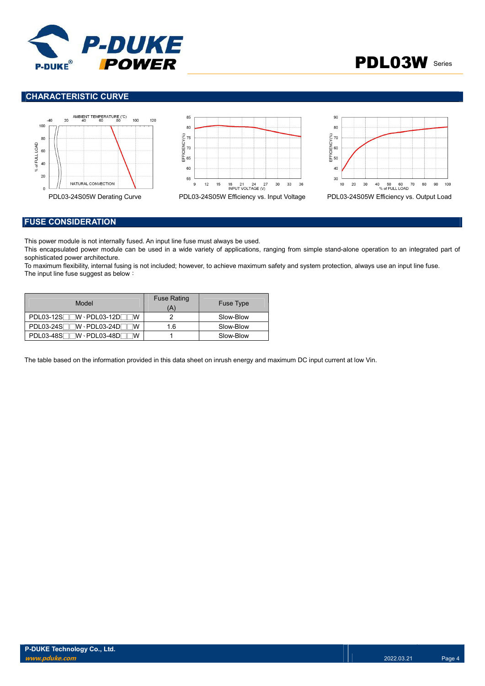



### CHARACTERISTIC CURVE



#### FUSE CONSIDERATION

This power module is not internally fused. An input line fuse must always be used.

This encapsulated power module can be used in a wide variety of applications, ranging from simple stand-alone operation to an integrated part of sophisticated power architecture.

To maximum flexibility, internal fusing is not included; however, to achieve maximum safety and system protection, always use an input line fuse. The input line fuse suggest as below:

| Model                                               | <b>Fuse Rating</b><br>(A' | <b>Fuse Type</b> |
|-----------------------------------------------------|---------------------------|------------------|
| $PDL03-12S$ $W\cdot$ $PDL03-12D$<br>w               |                           | Slow-Blow        |
| $\neg$ W · PDL03-24D<br>PDL03-24S <sup>T</sup><br>w | 1.6                       | Slow-Blow        |
| PDL03-48S<br>™ · PDL03-48DF<br>w                    |                           | Slow-Blow        |

The table based on the information provided in this data sheet on inrush energy and maximum DC input current at low Vin.